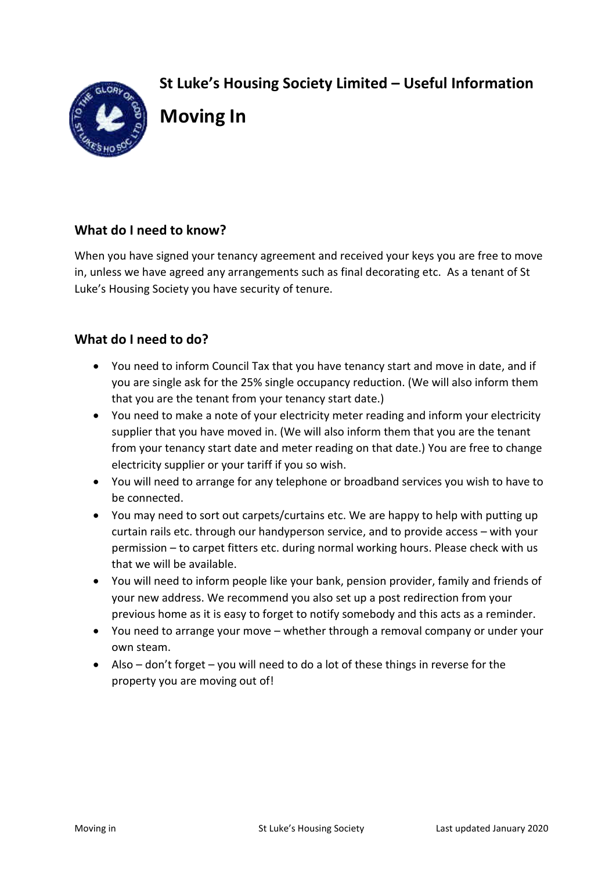**St Luke's Housing Society Limited – Useful Information** 



# **Moving In**

# **What do I need to know?**

When you have signed your tenancy agreement and received your keys you are free to move in, unless we have agreed any arrangements such as final decorating etc. As a tenant of St Luke's Housing Society you have security of tenure.

## **What do I need to do?**

- You need to inform Council Tax that you have tenancy start and move in date, and if you are single ask for the 25% single occupancy reduction. (We will also inform them that you are the tenant from your tenancy start date.)
- You need to make a note of your electricity meter reading and inform your electricity supplier that you have moved in. (We will also inform them that you are the tenant from your tenancy start date and meter reading on that date.) You are free to change electricity supplier or your tariff if you so wish.
- You will need to arrange for any telephone or broadband services you wish to have to be connected.
- You may need to sort out carpets/curtains etc. We are happy to help with putting up curtain rails etc. through our handyperson service, and to provide access – with your permission – to carpet fitters etc. during normal working hours. Please check with us that we will be available.
- You will need to inform people like your bank, pension provider, family and friends of your new address. We recommend you also set up a post redirection from your previous home as it is easy to forget to notify somebody and this acts as a reminder.
- You need to arrange your move whether through a removal company or under your own steam.
- Also don't forget you will need to do a lot of these things in reverse for the property you are moving out of!